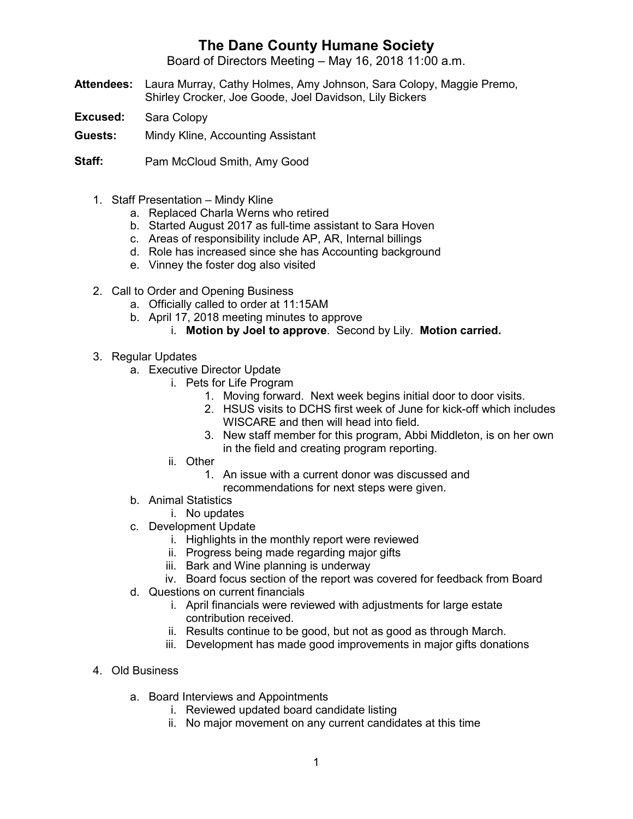## **The Dane County Humane Society**

Board of Directors Meeting – May 16, 2018 11:00 a.m.

- **Attendees:** Laura Murray, Cathy Holmes, Amy Johnson, Sara Colopy, Maggie Premo, Shirley Crocker, Joe Goode, Joel Davidson, Lily Bickers
- **Excused:** Sara Colopy
- **Guests:** Mindy Kline, Accounting Assistant
- **Staff:** Pam McCloud Smith, Amy Good
	- 1. Staff Presentation Mindy Kline
		- a. Replaced Charla Werns who retired
		- b. Started August 2017 as full-time assistant to Sara Hoven
		- c. Areas of responsibility include AP, AR, Internal billings
		- d. Role has increased since she has Accounting background
		- e. Vinney the foster dog also visited
	- 2. Call to Order and Opening Business
		- a. Officially called to order at 11:15AM
		- b. April 17, 2018 meeting minutes to approve
			- i. **Motion by Joel to approve**. Second by Lily. **Motion carried.**
	- 3. Regular Updates
		- a. Executive Director Update
			- i. Pets for Life Program
				- 1. Moving forward. Next week begins initial door to door visits.
				- 2. HSUS visits to DCHS first week of June for kick-off which includes WISCARE and then will head into field.
				- 3. New staff member for this program, Abbi Middleton, is on her own in the field and creating program reporting.
			- ii. Other
				- 1. An issue with a current donor was discussed and recommendations for next steps were given.
		- b. Animal Statistics
			- i. No updates
		- c. Development Update
			- i. Highlights in the monthly report were reviewed
			- ii. Progress being made regarding major gifts
			- iii. Bark and Wine planning is underway
			- iv. Board focus section of the report was covered for feedback from Board
		- d. Questions on current financials
			- i. April financials were reviewed with adjustments for large estate contribution received.
			- ii. Results continue to be good, but not as good as through March.
			- iii. Development has made good improvements in major gifts donations
	- 4. Old Business
		- a. Board Interviews and Appointments
			- i. Reviewed updated board candidate listing
			- ii. No major movement on any current candidates at this time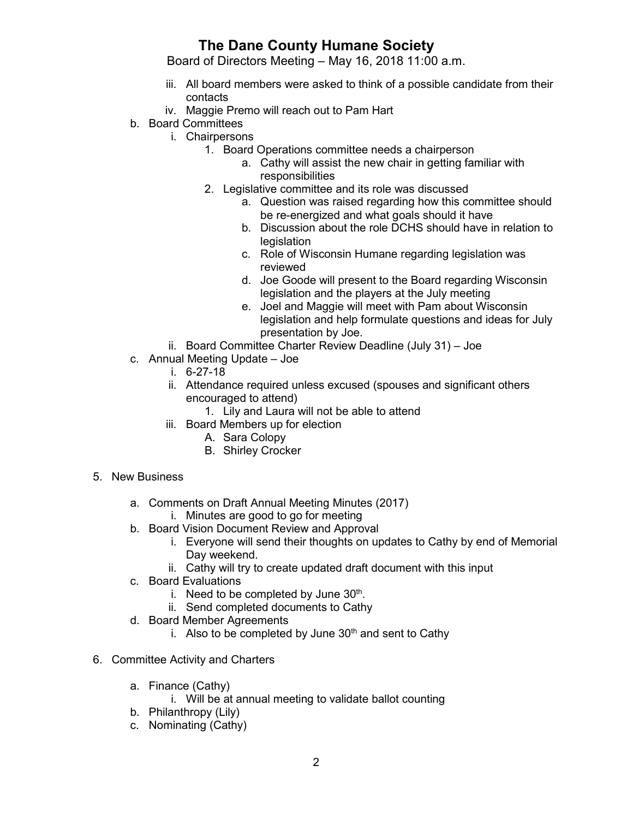## **The Dane County Humane Society**

Board of Directors Meeting – May 16, 2018 11:00 a.m.

- iii. All board members were asked to think of a possible candidate from their contacts
- iv. Maggie Premo will reach out to Pam Hart
- b. Board Committees
	- i. Chairpersons
		- 1. Board Operations committee needs a chairperson
			- a. Cathy will assist the new chair in getting familiar with responsibilities
		- 2. Legislative committee and its role was discussed
			- a. Question was raised regarding how this committee should be re-energized and what goals should it have
			- b. Discussion about the role DCHS should have in relation to **legislation**
			- c. Role of Wisconsin Humane regarding legislation was reviewed
			- d. Joe Goode will present to the Board regarding Wisconsin legislation and the players at the July meeting
			- e. Joel and Maggie will meet with Pam about Wisconsin legislation and help formulate questions and ideas for July presentation by Joe.
	- ii. Board Committee Charter Review Deadline (July 31) Joe
- c. Annual Meeting Update Joe
	- i. 6-27-18
	- ii. Attendance required unless excused (spouses and significant others encouraged to attend)
		- 1. Lily and Laura will not be able to attend
	- iii. Board Members up for election
		- A. Sara Colopy
		- B. Shirley Crocker
- 5. New Business
	- a. Comments on Draft Annual Meeting Minutes (2017)
		- i. Minutes are good to go for meeting
	- b. Board Vision Document Review and Approval
		- i. Everyone will send their thoughts on updates to Cathy by end of Memorial Day weekend.
		- ii. Cathy will try to create updated draft document with this input
	- c. Board Evaluations
		- i. Need to be completed by June  $30<sup>th</sup>$ .
		- ii. Send completed documents to Cathy
	- d. Board Member Agreements
		- i. Also to be completed by June  $30<sup>th</sup>$  and sent to Cathy
- 6. Committee Activity and Charters
	- a. Finance (Cathy)
		- i. Will be at annual meeting to validate ballot counting
	- b. Philanthropy (Lily)
	- c. Nominating (Cathy)